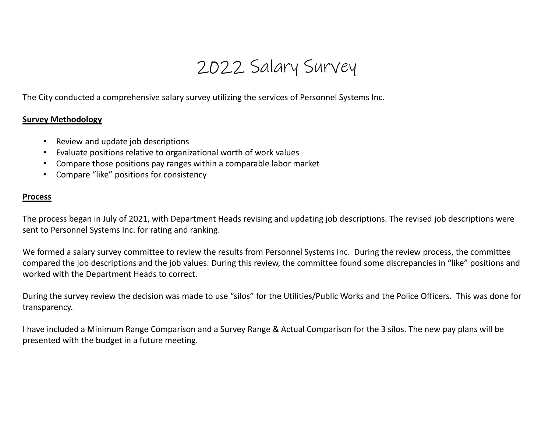## 2022 Salary Survey

The City conducted <sup>a</sup> comprehensive salary survey utilizing the services of Personnel Systems Inc.

## **Survey Methodology**

- Review and update job descriptions
- Evaluate positions relative to organizational worth of work values
- Compare those positions pay ranges within <sup>a</sup> comparable labor market
- Compare "like" positions for consistency

## **Process**

The process began in July of 2021, with Department Heads revising and updating job descriptions. The revised job descriptions were sent to Personnel Systems Inc. for rating and ranking.

We formed <sup>a</sup> salary survey committee to review the results from Personnel Systems Inc. During the review process, the committee compared the job descriptions and the job values. During this review, the committee found some discrepancies in "like" positions and worked with the Department Heads to correct.

During the survey review the decision was made to use "silos" for the Utilities/Public Works and the Police Officers. This was done for transparency.

I have included a Minimum Range Comparison and <sup>a</sup> Survey Range & Actual Comparison for the 3 silos. The new pay plans will be presented with the budget in <sup>a</sup> future meeting.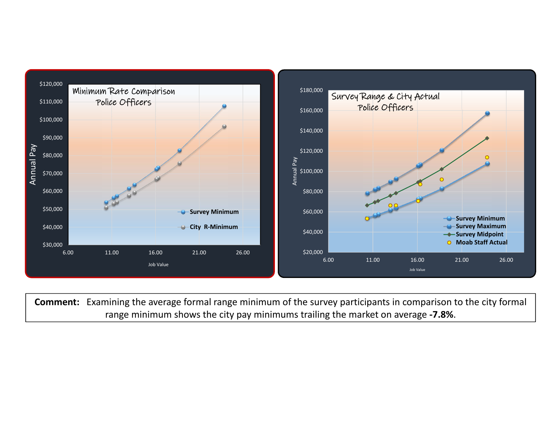

**Comment:** Examining the average formal range minimum of the survey participants in comparison to the city formal range minimum shows the city pay minimums trailing the market on average **‐7.8%**.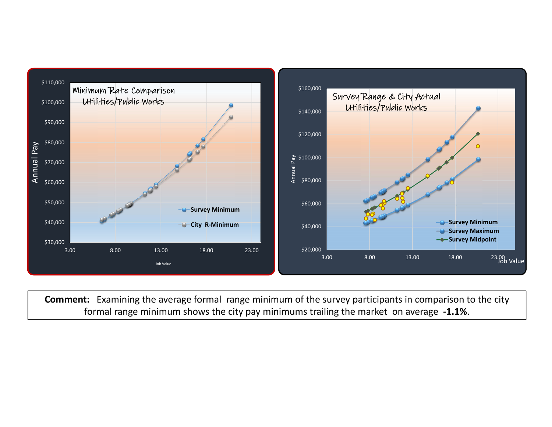

**Comment:** Examining the average formal range minimum of the survey participants in comparison to the city formal range minimum shows the city pay minimums trailing the market on average **‐1.1%**.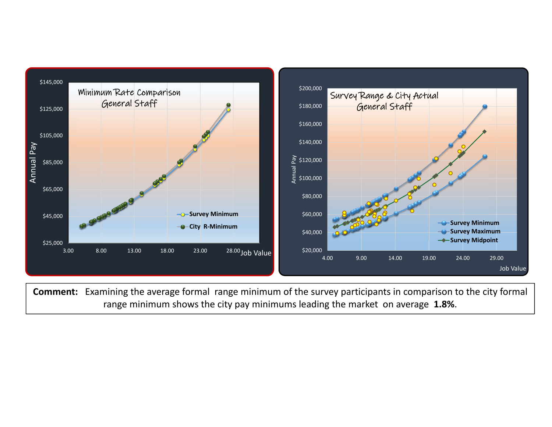

**Comment:** Examining the average formal range minimum of the survey participants in comparison to the city formal range minimum shows the city pay minimums leading the market on average **1.8%**.